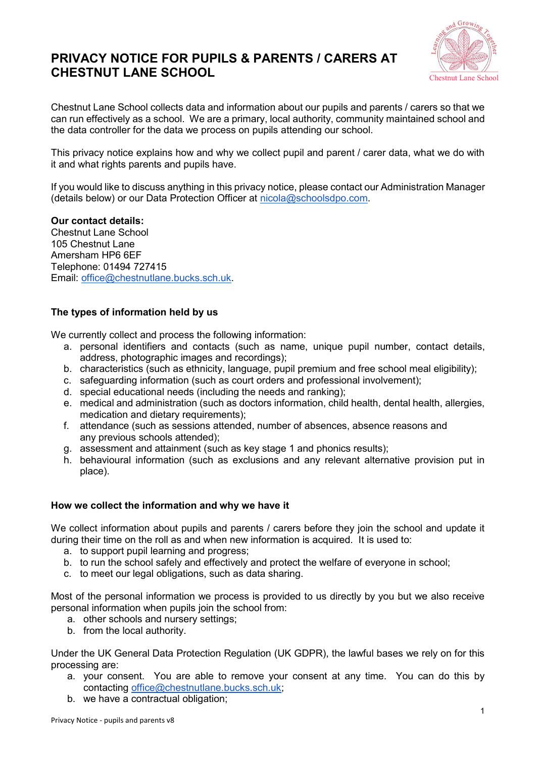# **PRIVACY NOTICE FOR PUPILS & PARENTS / CARERS AT CHESTNUT LANE SCHOOL**



Chestnut Lane School collects data and information about our pupils and parents / carers so that we can run effectively as a school. We are a primary, local authority, community maintained school and the data controller for the data we process on pupils attending our school.

This privacy notice explains how and why we collect pupil and parent / carer data, what we do with it and what rights parents and pupils have.

If you would like to discuss anything in this privacy notice, please contact our Administration Manager (details below) or our Data Protection Officer at [nicola@schoolsdpo.com.](mailto:nicola@schoolsdpo.com)

### **Our contact details:**

Chestnut Lane School 105 Chestnut Lane Amersham HP6 6EF Telephone: 01494 727415 Email: [office@chestnutlane.bucks.sch.uk.](mailto:office@chestnutlane.bucks.sch.uk)

## **The types of information held by us**

We currently collect and process the following information:

- a. personal identifiers and contacts (such as name, unique pupil number, contact details, address, photographic images and recordings);
- b. characteristics (such as ethnicity, language, pupil premium and free school meal eligibility);
- c. safeguarding information (such as court orders and professional involvement);
- d. special educational needs (including the needs and ranking);
- e. medical and administration (such as doctors information, child health, dental health, allergies, medication and dietary requirements);
- f. attendance (such as sessions attended, number of absences, absence reasons and any previous schools attended);
- g. assessment and attainment (such as key stage 1 and phonics results);
- h. behavioural information (such as exclusions and any relevant alternative provision put in place).

## **How we collect the information and why we have it**

We collect information about pupils and parents / carers before they join the school and update it during their time on the roll as and when new information is acquired. It is used to:

- a. to support pupil learning and progress;
- b. to run the school safely and effectively and protect the welfare of everyone in school;
- c. to meet our legal obligations, such as data sharing.

Most of the personal information we process is provided to us directly by you but we also receive personal information when pupils join the school from:

- a. other schools and nursery settings;
- b. from the local authority.

Under the UK General Data Protection Regulation (UK GDPR), the lawful bases we rely on for this processing are:

- a. your consent. You are able to remove your consent at any time. You can do this by contacting [office@chestnutlane.bucks.sch.uk;](mailto:office@chestnutlane.bucks.sch.uk)
- b. we have a contractual obligation;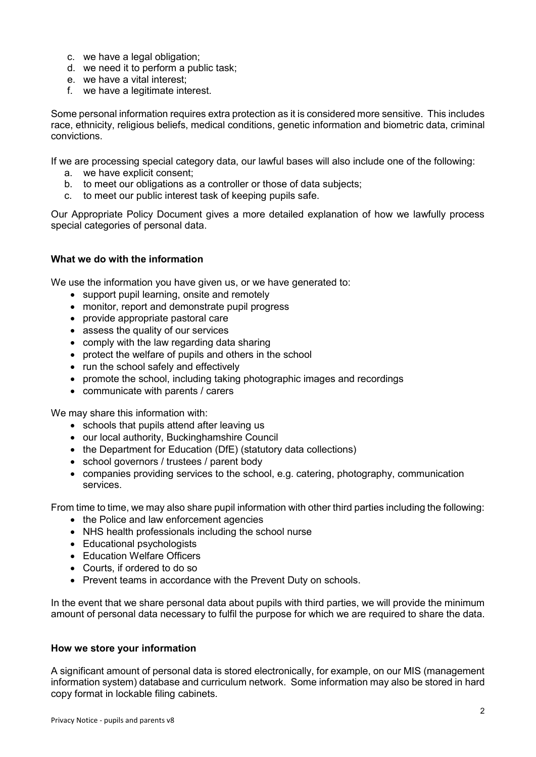- c. we have a legal obligation;
- d. we need it to perform a public task;
- e. we have a vital interest;
- f. we have a legitimate interest.

Some personal information requires extra protection as it is considered more sensitive. This includes race, ethnicity, religious beliefs, medical conditions, genetic information and biometric data, criminal convictions.

If we are processing special category data, our lawful bases will also include one of the following:

- a. we have explicit consent;
- b. to meet our obligations as a controller or those of data subjects;
- c. to meet our public interest task of keeping pupils safe.

Our Appropriate Policy Document gives a more detailed explanation of how we lawfully process special categories of personal data.

## **What we do with the information**

We use the information you have given us, or we have generated to:

- support pupil learning, onsite and remotely
- monitor, report and demonstrate pupil progress
- provide appropriate pastoral care
- assess the quality of our services
- comply with the law regarding data sharing
- protect the welfare of pupils and others in the school
- run the school safely and effectively
- promote the school, including taking photographic images and recordings
- communicate with parents / carers

We may share this information with:

- schools that pupils attend after leaving us
- our local authority, Buckinghamshire Council
- the Department for Education (DfE) (statutory data collections)
- school governors / trustees / parent body
- companies providing services to the school, e.g. catering, photography, communication services.

From time to time, we may also share pupil information with other third parties including the following:

- the Police and law enforcement agencies
- NHS health professionals including the school nurse
- Educational psychologists
- Education Welfare Officers
- Courts, if ordered to do so
- Prevent teams in accordance with the Prevent Duty on schools.

In the event that we share personal data about pupils with third parties, we will provide the minimum amount of personal data necessary to fulfil the purpose for which we are required to share the data.

### **How we store your information**

A significant amount of personal data is stored electronically, for example, on our MIS (management information system) database and curriculum network. Some information may also be stored in hard copy format in lockable filing cabinets.